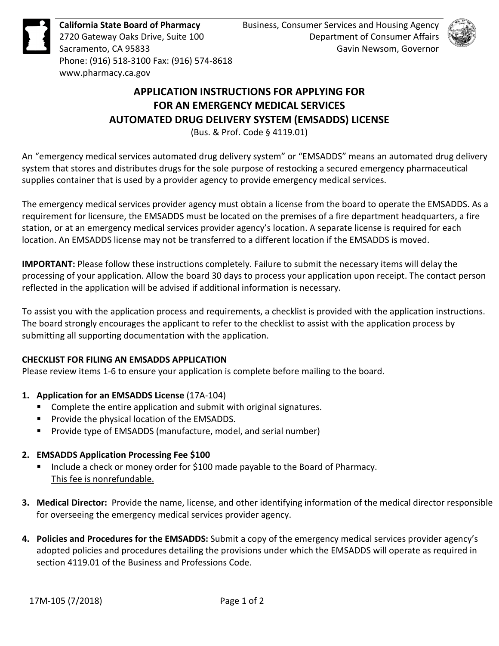**California State Board of Pharmacy**  2720 Gateway Oaks Drive, Suite 100 Sacramento, CA 95833 Phone: (916) 518-3100 Fax: (916) 574-8618 <www.pharmacy.ca.gov>



# **APPLICATION INSTRUCTIONS FOR APPLYING FOR FOR AN EMERGENCY MEDICAL SERVICES AUTOMATED DRUG DELIVERY SYSTEM (EMSADDS) LICENSE**

(Bus. & Prof. Code § 4119.01)

 An "emergency medical services automated drug delivery system" or "EMSADDS" means an automated drug delivery system that stores and distributes drugs for the sole purpose of restocking a secured emergency pharmaceutical supplies container that is used by a provider agency to provide emergency medical services.

 The emergency medical services provider agency must obtain a license from the board to operate the EMSADDS. As a requirement for licensure, the EMSADDS must be located on the premises of a fire department headquarters, a fire station, or at an emergency medical services provider agency's location. A separate license is required for each location. An EMSADDS license may not be transferred to a different location if the EMSADDS is moved.

 **IMPORTANT:** Please follow these instructions completely. Failure to submit the necessary items will delay the processing of your application. Allow the board 30 days to process your application upon receipt. The contact person reflected in the application will be advised if additional information is necessary.

 The board strongly encourages the applicant to refer to the checklist to assist with the application process by To assist you with the application process and requirements, a checklist is provided with the application instructions. submitting all supporting documentation with the application.

### **CHECKLIST FOR FILING AN EMSADDS APPLICATION**

Please review items 1-6 to ensure your application is complete before mailing to the board.

- **1. Application for an EMSADDS License** (17A-104)
	- Complete the entire application and submit with original signatures.
	- **Provide the physical location of the EMSADDS.**
	- **Provide type of EMSADDS (manufacture, model, and serial number)**

## **2. EMSADDS Application Processing Fee \$100**

- **Include a check or money order for \$100 made payable to the Board of Pharmacy.** This fee is nonrefundable.
- **3. Medical Director:** Provide the name, license, and other identifying information of the medical director responsible for overseeing the emergency medical services provider agency.
- **4. Policies and Procedures for the EMSADDS:** Submit a copy of the emergency medical services provider agency's adopted policies and procedures detailing the provisions under which the EMSADDS will operate as required in section 4119.01 of the Business and Professions Code.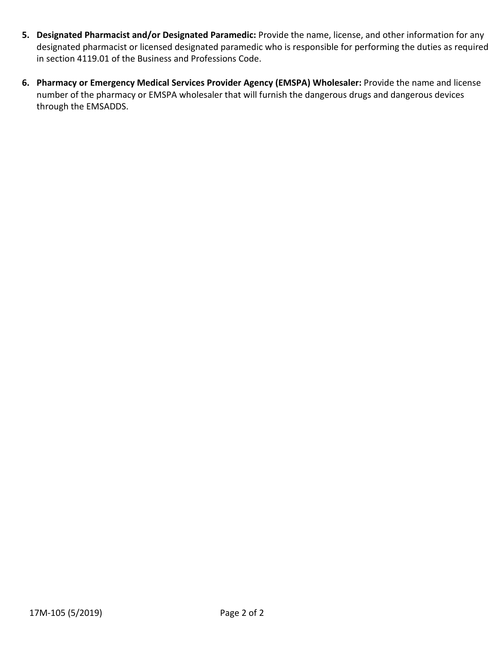- in section 4119.01 of the Business and Professions Code. **5. Designated Pharmacist and/or Designated Paramedic:** Provide the name, license, and other information for any designated pharmacist or licensed designated paramedic who is responsible for performing the duties as required
- number of the pharmacy or EMSPA wholesaler that will furnish the dangerous drugs and dangerous devices **6. Pharmacy or Emergency Medical Services Provider Agency (EMSPA) Wholesaler:** Provide the name and license through the EMSADDS.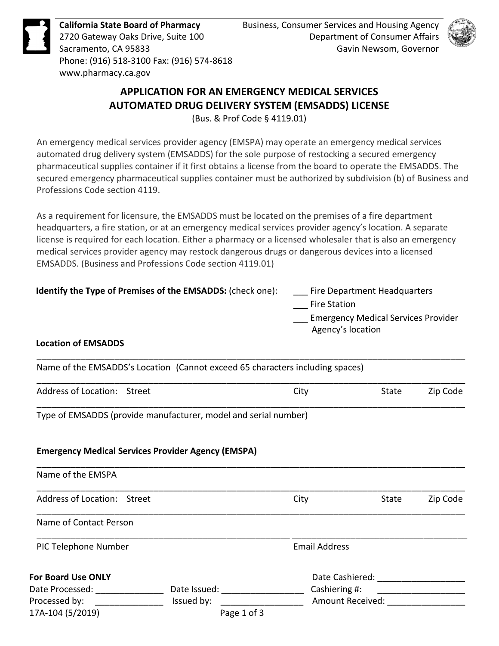

**California State Board of Pharmacy**  2720 Gateway Oaks Drive, Suite 100 Sacramento, CA 95833 Phone: (916) 518-3100 Fax: (916) 574-8618 <www.pharmacy.ca.gov>



# **APPLICATION FOR AN EMERGENCY MEDICAL SERVICES AUTOMATED DRUG DELIVERY SYSTEM (EMSADDS) LICENSE**

(Bus. & Prof Code § 4119.01)

An emergency medical services provider agency (EMSPA) may operate an emergency medical services automated drug delivery system (EMSADDS) for the sole purpose of restocking a secured emergency pharmaceutical supplies container if it first obtains a license from the board to operate the EMSADDS. The secured emergency pharmaceutical supplies container must be authorized by subdivision (b) of Business and Professions Code section 4119.

 As a requirement for licensure, the EMSADDS must be located on the premises of a fire department medical services provider agency may restock dangerous drugs or dangerous devices into a licensed headquarters, a fire station, or at an emergency medical services provider agency's location. A separate license is required for each location. Either a pharmacy or a licensed wholesaler that is also an emergency EMSADDS. (Business and Professions Code section 4119.01)

| Identify the Type of Premises of the EMSADDS: (check one): | Fire Department Headquarters               |
|------------------------------------------------------------|--------------------------------------------|
|                                                            | <b>Fire Station</b>                        |
|                                                            | <b>Emergency Medical Services Provider</b> |
|                                                            | Agency's location                          |
| Location of EMCADDC                                        |                                            |

#### **Location of EMSADDS**

| Name of the EMSADDS's Location (Cannot exceed 65 characters including spaces) |      |              |          |
|-------------------------------------------------------------------------------|------|--------------|----------|
| Address of Location: Street                                                   | City | <b>State</b> | Zip Code |

\_\_\_\_\_\_\_\_\_\_\_\_\_\_\_\_\_\_\_\_\_\_\_\_\_\_\_\_\_\_\_\_\_\_\_\_\_\_\_\_\_\_\_\_\_\_\_\_\_\_\_\_\_\_\_\_\_\_\_\_\_\_\_\_\_\_\_\_\_\_\_\_\_\_\_\_\_\_\_\_\_\_\_\_\_\_\_\_

Type of EMSADDS (provide manufacturer, model and serial number)

#### **Emergency Medical Services Provider Agency (EMSPA)**

| Name of the EMSPA           |              |                      |                         |          |
|-----------------------------|--------------|----------------------|-------------------------|----------|
| Address of Location: Street |              | City                 | State                   | Zip Code |
| Name of Contact Person      |              |                      |                         |          |
| PIC Telephone Number        |              | <b>Email Address</b> |                         |          |
| <b>For Board Use ONLY</b>   |              | Date Cashiered:      |                         |          |
| Date Processed:             | Date Issued: | Cashiering #:        |                         |          |
| Processed by:               | Issued by:   |                      | <b>Amount Received:</b> |          |
| 17A-104 (5/2019)            | Page 1 of 3  |                      |                         |          |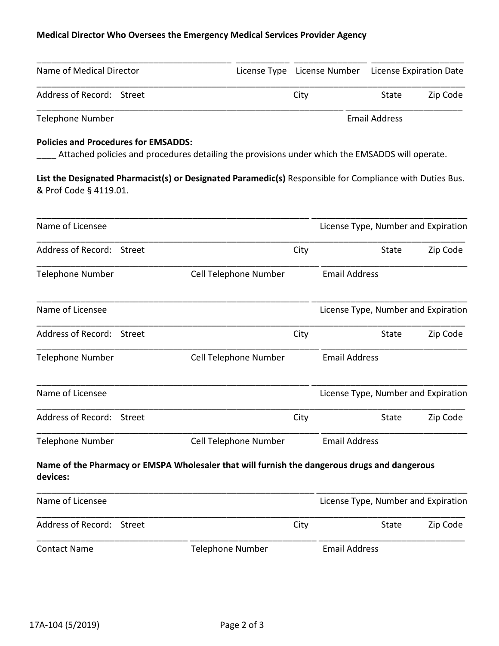| Name of Medical Director  |      | License Type License Number License Expiration Date |                      |  |
|---------------------------|------|-----------------------------------------------------|----------------------|--|
| Address of Record: Street | City |                                                     | Zip Code<br>State    |  |
| Telephone Number          |      |                                                     | <b>Email Address</b> |  |

#### **Policies and Procedures for EMSADDS:**

|                                             |        | <b>Medical Director Who Oversees the Emergency Medical Services Provider Agency</b>                      |                      |                                     |              |                                     |
|---------------------------------------------|--------|----------------------------------------------------------------------------------------------------------|----------------------|-------------------------------------|--------------|-------------------------------------|
| Name of Medical Director                    |        | License Type License Number                                                                              |                      |                                     |              | License Expiration Date             |
| Address of Record: Street                   |        |                                                                                                          | City                 |                                     | <b>State</b> | Zip Code                            |
| <b>Telephone Number</b>                     |        |                                                                                                          | <b>Email Address</b> |                                     |              |                                     |
| <b>Policies and Procedures for EMSADDS:</b> |        | Attached policies and procedures detailing the provisions under which the EMSADDS will operate.          |                      |                                     |              |                                     |
| & Prof Code § 4119.01.                      |        | List the Designated Pharmacist(s) or Designated Paramedic(s) Responsible for Compliance with Duties Bus. |                      |                                     |              |                                     |
| Name of Licensee                            |        |                                                                                                          |                      |                                     |              | License Type, Number and Expiration |
| Address of Record: Street                   |        |                                                                                                          | City                 |                                     | State        | Zip Code                            |
| <b>Telephone Number</b>                     |        | Cell Telephone Number                                                                                    |                      | <b>Email Address</b>                |              |                                     |
| Name of Licensee                            |        |                                                                                                          |                      | License Type, Number and Expiration |              |                                     |
| Address of Record: Street                   |        |                                                                                                          | City                 |                                     | State        | Zip Code                            |
| <b>Telephone Number</b>                     |        | Cell Telephone Number                                                                                    |                      | <b>Email Address</b>                |              |                                     |
| Name of Licensee                            |        |                                                                                                          |                      |                                     |              | License Type, Number and Expiration |
| Address of Record: Street                   |        |                                                                                                          | City                 |                                     | State        | Zip Code                            |
| <b>Telephone Number</b>                     |        | Cell Telephone Number                                                                                    |                      | <b>Email Address</b>                |              |                                     |
| devices:                                    |        | Name of the Pharmacy or EMSPA Wholesaler that will furnish the dangerous drugs and dangerous             |                      |                                     |              |                                     |
| Name of Licensee                            |        |                                                                                                          |                      |                                     |              | License Type, Number and Expiration |
| <b>Address of Record:</b>                   | Street |                                                                                                          | City                 |                                     | State        | Zip Code                            |
| <b>Contact Name</b>                         |        | <b>Telephone Number</b>                                                                                  |                      | <b>Email Address</b>                |              |                                     |